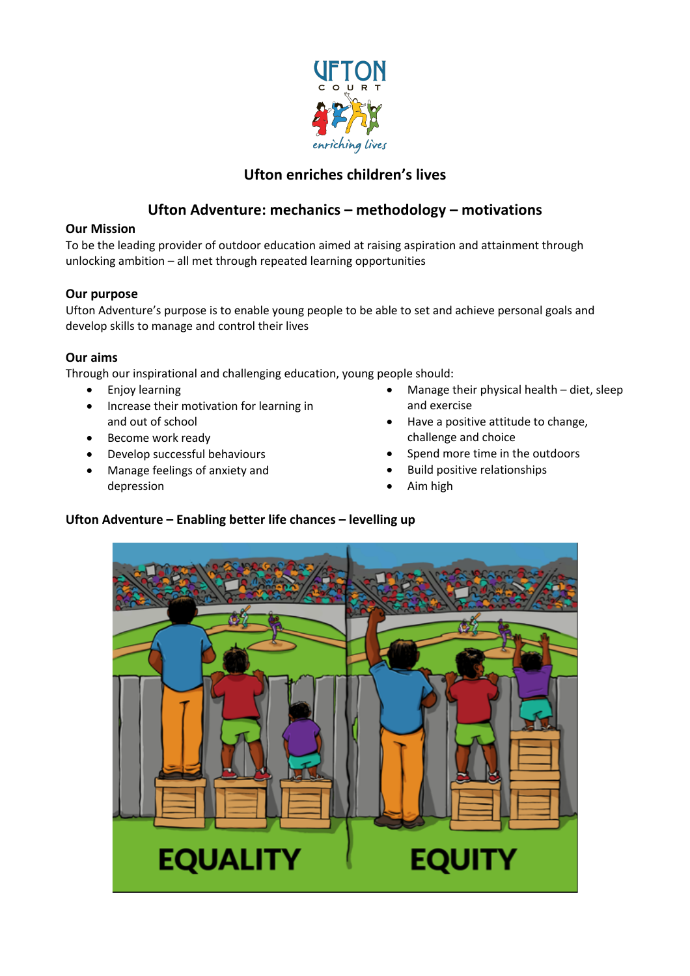

# **Ufton enriches children's lives**

# **Ufton Adventure: mechanics – methodology – motivations**

## **Our Mission**

To be the leading provider of outdoor education aimed at raising aspiration and attainment through unlocking ambition – all met through repeated learning opportunities

# **Our purpose**

Ufton Adventure's purpose is to enable young people to be able to set and achieve personal goals and develop skills to manage and control their lives

# **Our aims**

Through our inspirational and challenging education, young people should:

- Enjoy learning
- Increase their motivation for learning in and out of school
- Become work ready
- Develop successful behaviours
- Manage feelings of anxiety and depression
- Manage their physical health diet, sleep and exercise
- Have a positive attitude to change, challenge and choice
- Spend more time in the outdoors
- Build positive relationships
- Aim high

# **Ufton Adventure – Enabling better life chances – levelling up**

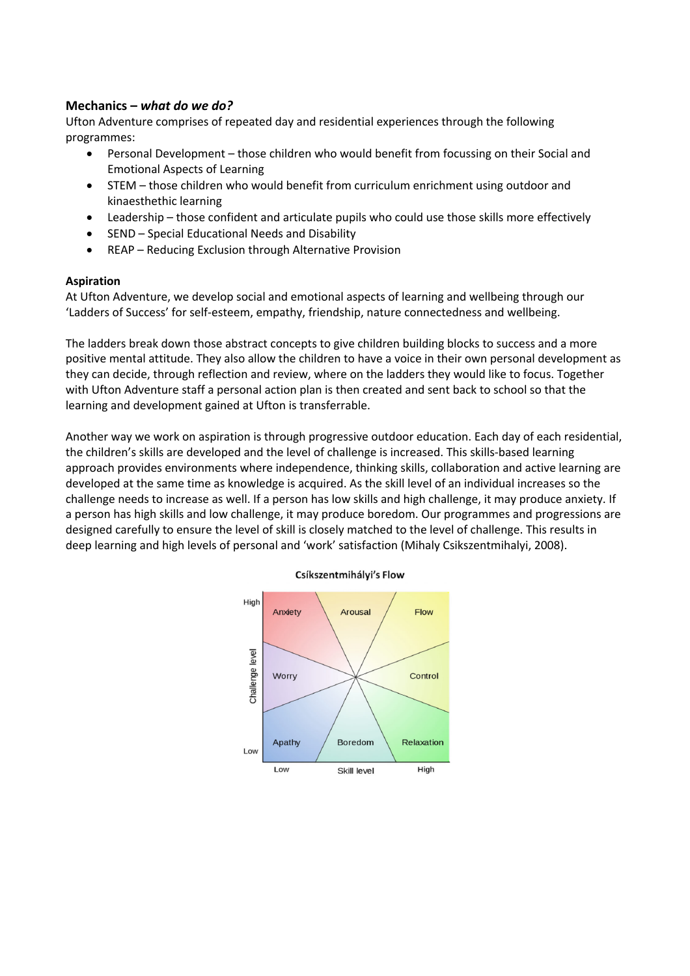### **Mechanics –** *what do we do?*

Ufton Adventure comprises of repeated day and residential experiences through the following programmes:

- Personal Development those children who would benefit from focussing on their Social and Emotional Aspects of Learning
- STEM those children who would benefit from curriculum enrichment using outdoor and kinaesthethic learning
- Leadership those confident and articulate pupils who could use those skills more effectively
- SEND Special Educational Needs and Disability
- REAP Reducing Exclusion through Alternative Provision

### **Aspiration**

At Ufton Adventure, we develop social and emotional aspects of learning and wellbeing through our 'Ladders of Success' for self-esteem, empathy, friendship, nature connectedness and wellbeing.

The ladders break down those abstract concepts to give children building blocks to success and a more positive mental attitude. They also allow the children to have a voice in their own personal development as they can decide, through reflection and review, where on the ladders they would like to focus. Together with Ufton Adventure staff a personal action plan is then created and sent back to school so that the learning and development gained at Ufton is transferrable.

Another way we work on aspiration is through progressive outdoor education. Each day of each residential, the children's skills are developed and the level of challenge is increased. This skills-based learning approach provides environments where independence, thinking skills, collaboration and active learning are developed at the same time as knowledge is acquired. As the skill level of an individual increases so the challenge needs to increase as well. If a person has low skills and high challenge, it may produce anxiety. If a person has high skills and low challenge, it may produce boredom. Our programmes and progressions are designed carefully to ensure the level of skill is closely matched to the level of challenge. This results in deep learning and high levels of personal and 'work' satisfaction (Mihaly Csikszentmihalyi, 2008).



### Csíkszentmihályi's Flow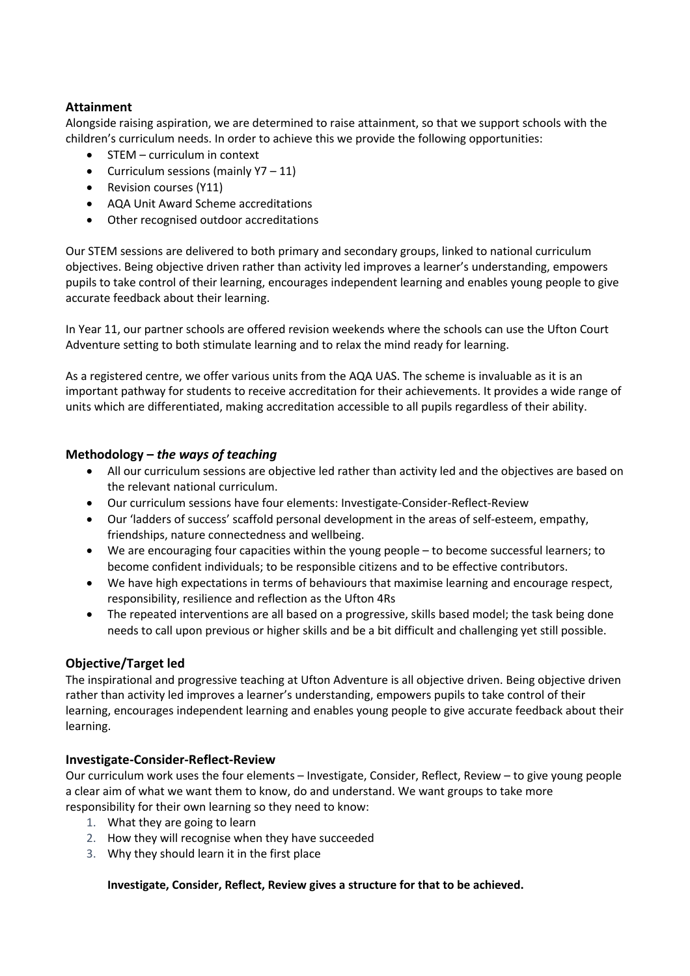## **Attainment**

Alongside raising aspiration, we are determined to raise attainment, so that we support schools with the children's curriculum needs. In order to achieve this we provide the following opportunities:

- STEM curriculum in context
- Curriculum sessions (mainly Y7 11)
- Revision courses (Y11)
- AQA Unit Award Scheme accreditations
- Other recognised outdoor accreditations

Our STEM sessions are delivered to both primary and secondary groups, linked to national curriculum objectives. Being objective driven rather than activity led improves a learner's understanding, empowers pupils to take control of their learning, encourages independent learning and enables young people to give accurate feedback about their learning.

In Year 11, our partner schools are offered revision weekends where the schools can use the Ufton Court Adventure setting to both stimulate learning and to relax the mind ready for learning.

As a registered centre, we offer various units from the AQA UAS. The scheme is invaluable as it is an important pathway for students to receive accreditation for their achievements. It provides a wide range of units which are differentiated, making accreditation accessible to all pupils regardless of their ability.

### **Methodology –** *the ways of teaching*

- All our curriculum sessions are objective led rather than activity led and the objectives are based on the relevant national curriculum.
- Our curriculum sessions have four elements: Investigate-Consider-Reflect-Review
- Our 'ladders of success' scaffold personal development in the areas of self-esteem, empathy, friendships, nature connectedness and wellbeing.
- We are encouraging four capacities within the young people to become successful learners; to become confident individuals; to be responsible citizens and to be effective contributors.
- We have high expectations in terms of behaviours that maximise learning and encourage respect, responsibility, resilience and reflection as the Ufton 4Rs
- The repeated interventions are all based on a progressive, skills based model; the task being done needs to call upon previous or higher skills and be a bit difficult and challenging yet still possible.

### **Objective/Target led**

The inspirational and progressive teaching at Ufton Adventure is all objective driven. Being objective driven rather than activity led improves a learner's understanding, empowers pupils to take control of their learning, encourages independent learning and enables young people to give accurate feedback about their learning.

### **Investigate-Consider-Reflect-Review**

Our curriculum work uses the four elements – Investigate, Consider, Reflect, Review – to give young people a clear aim of what we want them to know, do and understand. We want groups to take more responsibility for their own learning so they need to know:

- 1. What they are going to learn
- 2. How they will recognise when they have succeeded
- 3. Why they should learn it in the first place

#### **Investigate, Consider, Reflect, Review gives a structure for that to be achieved.**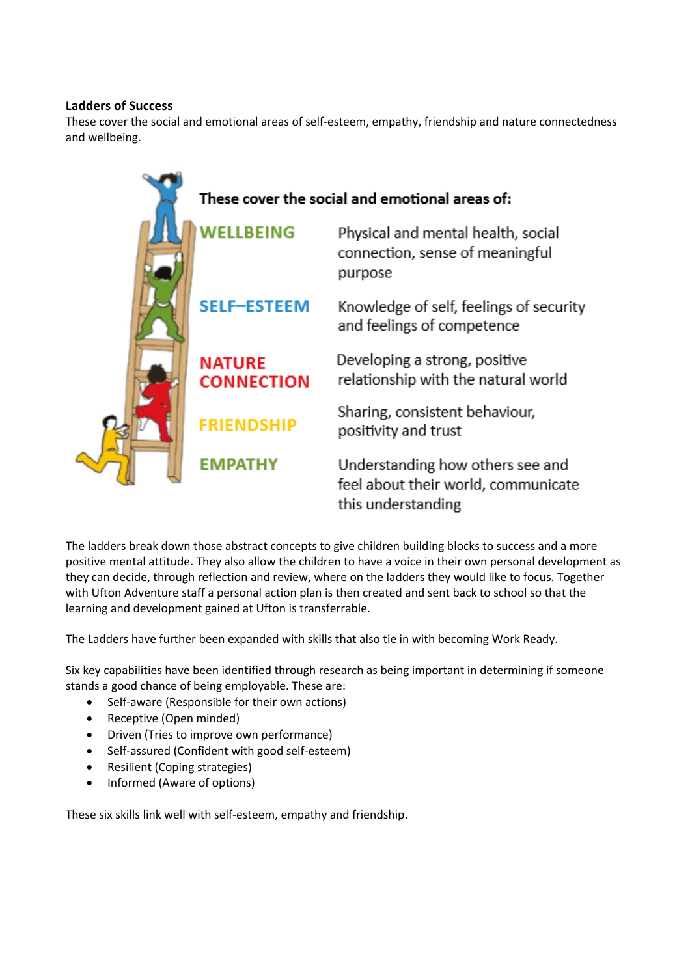### **Ladders of Success**

These cover the social and emotional areas of self-esteem, empathy, friendship and nature connectedness and wellbeing.



The ladders break down those abstract concepts to give children building blocks to success and a more positive mental attitude. They also allow the children to have a voice in their own personal development as they can decide, through reflection and review, where on the ladders they would like to focus. Together with Ufton Adventure staff a personal action plan is then created and sent back to school so that the learning and development gained at Ufton is transferrable.

The Ladders have further been expanded with skills that also tie in with becoming Work Ready.

Six key capabilities have been identified through research as being important in determining if someone stands a good chance of being employable. These are:

- Self-aware (Responsible for their own actions)
- Receptive (Open minded)
- Driven (Tries to improve own performance)
- Self-assured (Confident with good self-esteem)
- Resilient (Coping strategies)
- Informed (Aware of options)

These six skills link well with self-esteem, empathy and friendship.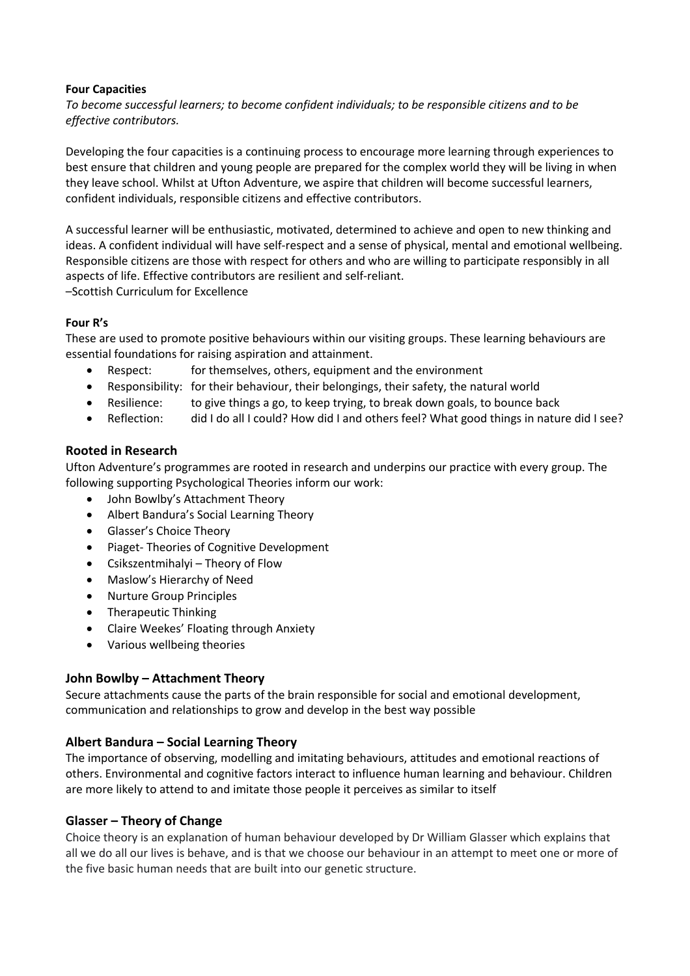### **Four Capacities**

*To become successful learners; to become confident individuals; to be responsible citizens and to be effective contributors.*

Developing the four capacities is a continuing process to encourage more learning through experiences to best ensure that children and young people are prepared for the complex world they will be living in when they leave school. Whilst at Ufton Adventure, we aspire that children will become successful learners, confident individuals, responsible citizens and effective contributors.

A successful learner will be enthusiastic, motivated, determined to achieve and open to new thinking and ideas. A confident individual will have self-respect and a sense of physical, mental and emotional wellbeing. Responsible citizens are those with respect for others and who are willing to participate responsibly in all aspects of life. Effective contributors are resilient and self-reliant. –Scottish Curriculum for Excellence

### **Four R's**

These are used to promote positive behaviours within our visiting groups. These learning behaviours are essential foundations for raising aspiration and attainment.

- Respect: for themselves, others, equipment and the environment
- Responsibility: for their behaviour, their belongings, their safety, the natural world
- Resilience: to give things a go, to keep trying, to break down goals, to bounce back
- Reflection: did I do all I could? How did I and others feel? What good things in nature did I see?

### **Rooted in Research**

Ufton Adventure's programmes are rooted in research and underpins our practice with every group. The following supporting Psychological Theories inform our work:

- John Bowlby's Attachment Theory
- Albert Bandura's Social Learning Theory
- Glasser's Choice Theory
- Piaget- Theories of Cognitive Development
- Csikszentmihalyi Theory of Flow
- Maslow's Hierarchy of Need
- Nurture Group Principles
- Therapeutic Thinking
- Claire Weekes' Floating through Anxiety
- Various wellbeing theories

### **John Bowlby – Attachment Theory**

Secure attachments cause the parts of the brain responsible for social and emotional development, communication and relationships to grow and develop in the best way possible

### **Albert Bandura – Social Learning Theory**

The importance of observing, modelling and imitating behaviours, attitudes and emotional reactions of others. Environmental and cognitive factors interact to influence human learning and behaviour. Children are more likely to attend to and imitate those people it perceives as similar to itself

#### **Glasser – Theory of Change**

Choice theory is an explanation of human behaviour developed by Dr William Glasser which explains that all we do all our lives is behave, and is that we choose our behaviour in an attempt to meet one or more of the five basic human needs that are built into our genetic structure.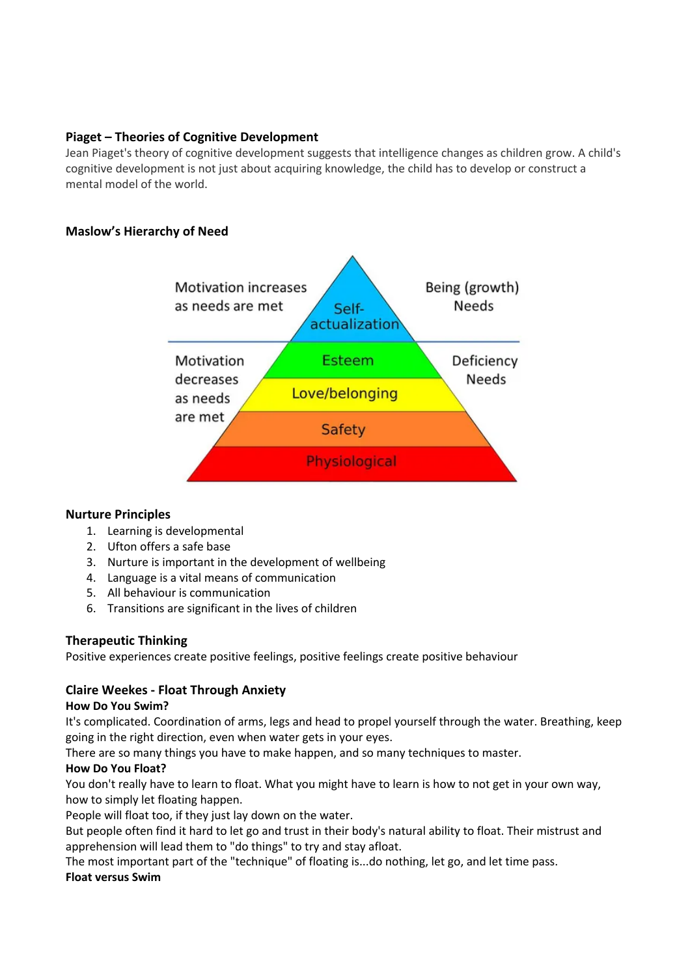## **Piaget – Theories of Cognitive Development**

Jean Piaget's theory of cognitive development suggests that intelligence changes as children grow. A child's cognitive development is not just about acquiring knowledge, the child has to develop or construct a mental model of the world.

# **Maslow's Hierarchy of Need**



### **Nurture Principles**

- 1. Learning is developmental
- 2. Ufton offers a safe base
- 3. Nurture is important in the development of wellbeing
- 4. Language is a vital means of communication
- 5. All behaviour is communication
- 6. Transitions are significant in the lives of children

# **Therapeutic Thinking**

Positive experiences create positive feelings, positive feelings create positive behaviour

# **Claire Weekes - Float Through Anxiety**

### **How Do You Swim?**

It's complicated. Coordination of arms, legs and head to propel yourself through the water. Breathing, keep going in the right direction, even when water gets in your eyes.

There are so many things you have to make happen, and so many techniques to master.

### **How Do You Float?**

You don't really have to learn to float. What you might have to learn is how to not get in your own way, how to simply let floating happen.

People will float too, if they just lay down on the water.

But people often find it hard to let go and trust in their body's natural ability to float. Their mistrust and apprehension will lead them to "do things" to try and stay afloat.

The most important part of the "technique" of floating is...do nothing, let go, and let time pass.

### **Float versus Swim**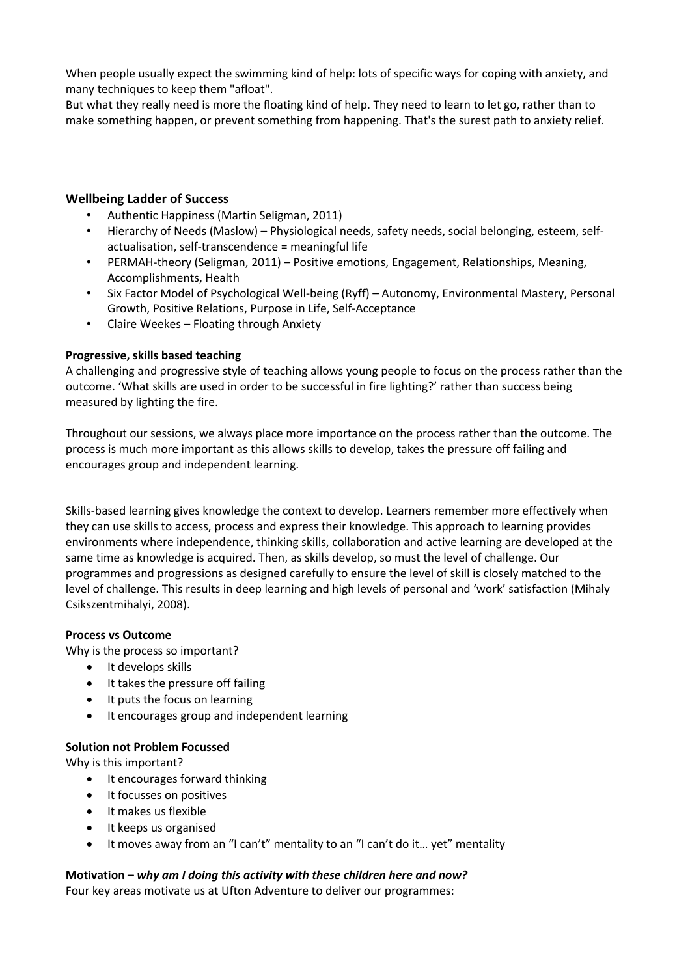When people usually expect the swimming kind of help: lots of specific ways for coping with anxiety, and many techniques to keep them "afloat".

But what they really need is more the floating kind of help. They need to learn to let go, rather than to make something happen, or prevent something from happening. That's the surest path to anxiety relief.

### **Wellbeing Ladder of Success**

- Authentic Happiness (Martin Seligman, 2011)
- Hierarchy of Needs (Maslow) Physiological needs, safety needs, social belonging, esteem, selfactualisation, self-transcendence = meaningful life
- PERMAH-theory (Seligman, 2011) Positive emotions, Engagement, Relationships, Meaning, Accomplishments, Health
- Six Factor Model of Psychological Well-being (Ryff) Autonomy, Environmental Mastery, Personal Growth, Positive Relations, Purpose in Life, Self-Acceptance
- Claire Weekes Floating through Anxiety

### **Progressive, skills based teaching**

A challenging and progressive style of teaching allows young people to focus on the process rather than the outcome. 'What skills are used in order to be successful in fire lighting?' rather than success being measured by lighting the fire.

Throughout our sessions, we always place more importance on the process rather than the outcome. The process is much more important as this allows skills to develop, takes the pressure off failing and encourages group and independent learning.

Skills-based learning gives knowledge the context to develop. Learners remember more effectively when they can use skills to access, process and express their knowledge. This approach to learning provides environments where independence, thinking skills, collaboration and active learning are developed at the same time as knowledge is acquired. Then, as skills develop, so must the level of challenge. Our programmes and progressions as designed carefully to ensure the level of skill is closely matched to the level of challenge. This results in deep learning and high levels of personal and 'work' satisfaction (Mihaly Csikszentmihalyi, 2008).

#### **Process vs Outcome**

Why is the process so important?

- It develops skills
- It takes the pressure off failing
- It puts the focus on learning
- It encourages group and independent learning

#### **Solution not Problem Focussed**

Why is this important?

- It encourages forward thinking
- It focusses on positives
- It makes us flexible
- It keeps us organised
- It moves away from an "I can't" mentality to an "I can't do it… yet" mentality

#### **Motivation –** *why am I doing this activity with these children here and now?*

Four key areas motivate us at Ufton Adventure to deliver our programmes: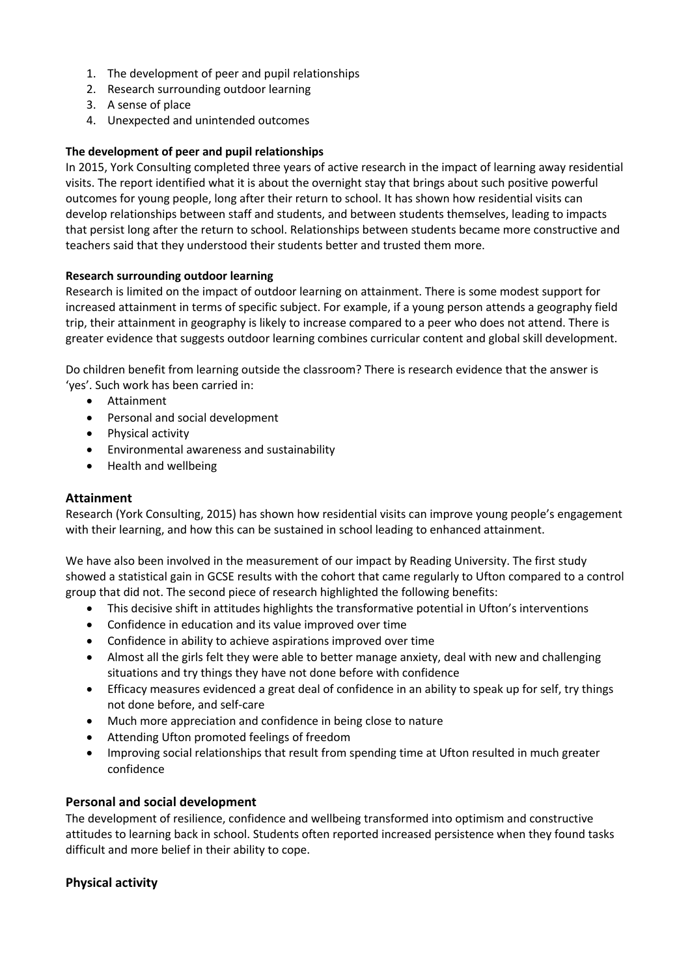- 1. The development of peer and pupil relationships
- 2. Research surrounding outdoor learning
- 3. A sense of place
- 4. Unexpected and unintended outcomes

### **The development of peer and pupil relationships**

In 2015, York Consulting completed three years of active research in the impact of learning away residential visits. The report identified what it is about the overnight stay that brings about such positive powerful outcomes for young people, long after their return to school. It has shown how residential visits can develop relationships between staff and students, and between students themselves, leading to impacts that persist long after the return to school. Relationships between students became more constructive and teachers said that they understood their students better and trusted them more.

### **Research surrounding outdoor learning**

Research is limited on the impact of outdoor learning on attainment. There is some modest support for increased attainment in terms of specific subject. For example, if a young person attends a geography field trip, their attainment in geography is likely to increase compared to a peer who does not attend. There is greater evidence that suggests outdoor learning combines curricular content and global skill development.

Do children benefit from learning outside the classroom? There is research evidence that the answer is 'yes'. Such work has been carried in:

- Attainment
- Personal and social development
- Physical activity
- Environmental awareness and sustainability
- Health and wellbeing

### **Attainment**

Research (York Consulting, 2015) has shown how residential visits can improve young people's engagement with their learning, and how this can be sustained in school leading to enhanced attainment.

We have also been involved in the measurement of our impact by Reading University. The first study showed a statistical gain in GCSE results with the cohort that came regularly to Ufton compared to a control group that did not. The second piece of research highlighted the following benefits:

- This decisive shift in attitudes highlights the transformative potential in Ufton's interventions
- Confidence in education and its value improved over time
- Confidence in ability to achieve aspirations improved over time
- Almost all the girls felt they were able to better manage anxiety, deal with new and challenging situations and try things they have not done before with confidence
- Efficacy measures evidenced a great deal of confidence in an ability to speak up for self, try things not done before, and self-care
- Much more appreciation and confidence in being close to nature
- Attending Ufton promoted feelings of freedom
- Improving social relationships that result from spending time at Ufton resulted in much greater confidence

### **Personal and social development**

The development of resilience, confidence and wellbeing transformed into optimism and constructive attitudes to learning back in school. Students often reported increased persistence when they found tasks difficult and more belief in their ability to cope.

### **Physical activity**